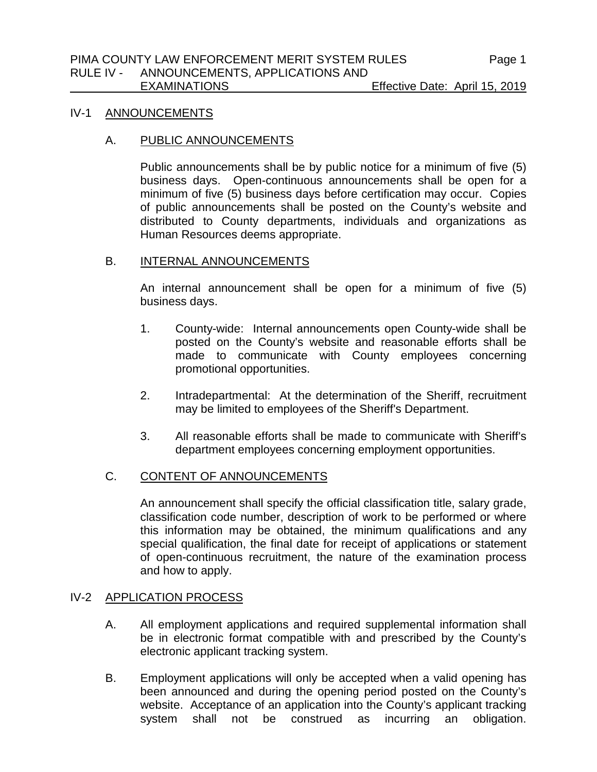#### IV-1 ANNOUNCEMENTS

#### A. PUBLIC ANNOUNCEMENTS

Public announcements shall be by public notice for a minimum of five (5) business days. Open-continuous announcements shall be open for a minimum of five (5) business days before certification may occur. Copies of public announcements shall be posted on the County's website and distributed to County departments, individuals and organizations as Human Resources deems appropriate.

## B. INTERNAL ANNOUNCEMENTS

An internal announcement shall be open for a minimum of five (5) business days.

- 1. County-wide: Internal announcements open County-wide shall be posted on the County's website and reasonable efforts shall be made to communicate with County employees concerning promotional opportunities.
- 2. Intradepartmental: At the determination of the Sheriff, recruitment may be limited to employees of the Sheriff's Department.
- 3. All reasonable efforts shall be made to communicate with Sheriff's department employees concerning employment opportunities.

# C. CONTENT OF ANNOUNCEMENTS

An announcement shall specify the official classification title, salary grade, classification code number, description of work to be performed or where this information may be obtained, the minimum qualifications and any special qualification, the final date for receipt of applications or statement of open-continuous recruitment, the nature of the examination process and how to apply.

# IV-2 APPLICATION PROCESS

- A. All employment applications and required supplemental information shall be in electronic format compatible with and prescribed by the County's electronic applicant tracking system.
- B. Employment applications will only be accepted when a valid opening has been announced and during the opening period posted on the County's website. Acceptance of an application into the County's applicant tracking system shall not be construed as incurring an obligation.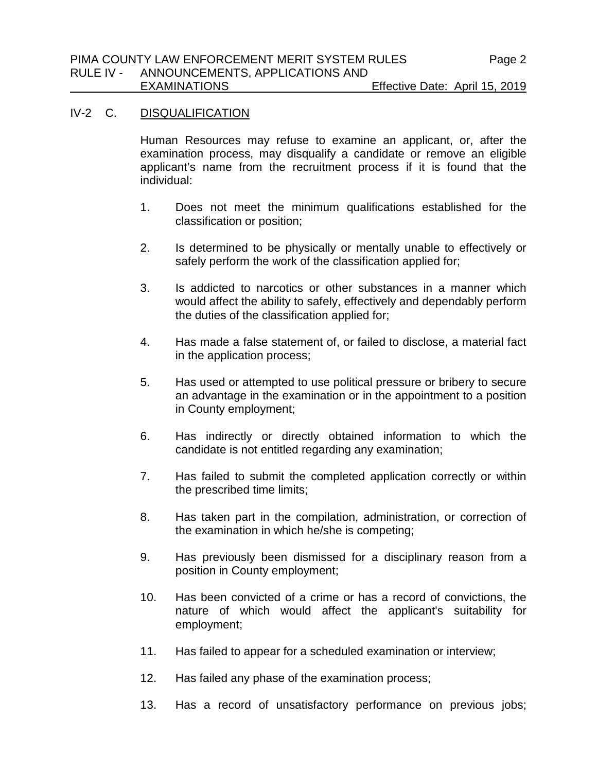# IV-2 C. DISQUALIFICATION

Human Resources may refuse to examine an applicant, or, after the examination process, may disqualify a candidate or remove an eligible applicant's name from the recruitment process if it is found that the individual:

- 1. Does not meet the minimum qualifications established for the classification or position;
- 2. Is determined to be physically or mentally unable to effectively or safely perform the work of the classification applied for;
- 3. Is addicted to narcotics or other substances in a manner which would affect the ability to safely, effectively and dependably perform the duties of the classification applied for;
- 4. Has made a false statement of, or failed to disclose, a material fact in the application process;
- 5. Has used or attempted to use political pressure or bribery to secure an advantage in the examination or in the appointment to a position in County employment;
- 6. Has indirectly or directly obtained information to which the candidate is not entitled regarding any examination;
- 7. Has failed to submit the completed application correctly or within the prescribed time limits;
- 8. Has taken part in the compilation, administration, or correction of the examination in which he/she is competing;
- 9. Has previously been dismissed for a disciplinary reason from a position in County employment;
- 10. Has been convicted of a crime or has a record of convictions, the nature of which would affect the applicant's suitability for employment;
- 11. Has failed to appear for a scheduled examination or interview;
- 12. Has failed any phase of the examination process;
- 13. Has a record of unsatisfactory performance on previous jobs;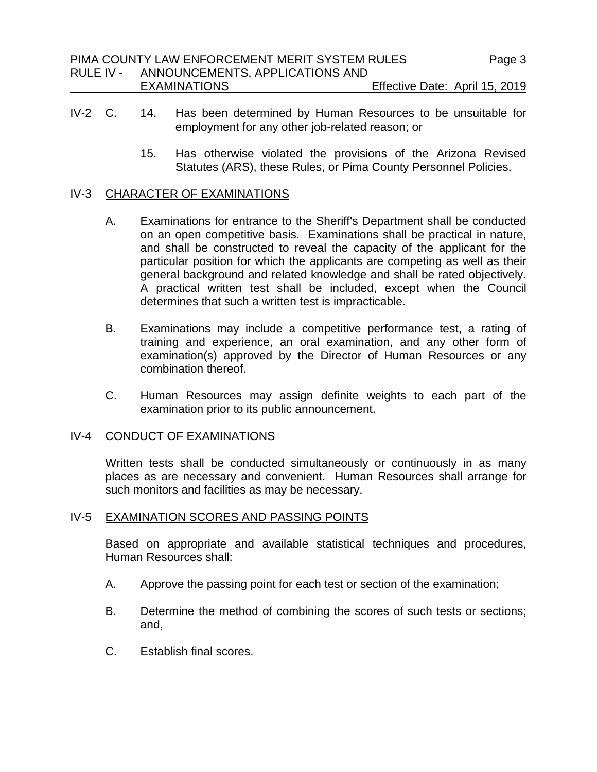- IV-2 C. 14. Has been determined by Human Resources to be unsuitable for employment for any other job-related reason; or
	- 15. Has otherwise violated the provisions of the Arizona Revised Statutes (ARS), these Rules, or Pima County Personnel Policies.

### IV-3 CHARACTER OF EXAMINATIONS

- A. Examinations for entrance to the Sheriff's Department shall be conducted on an open competitive basis. Examinations shall be practical in nature, and shall be constructed to reveal the capacity of the applicant for the particular position for which the applicants are competing as well as their general background and related knowledge and shall be rated objectively. A practical written test shall be included, except when the Council determines that such a written test is impracticable.
- B. Examinations may include a competitive performance test, a rating of training and experience, an oral examination, and any other form of examination(s) approved by the Director of Human Resources or any combination thereof.
- C. Human Resources may assign definite weights to each part of the examination prior to its public announcement.

# IV-4 CONDUCT OF EXAMINATIONS

Written tests shall be conducted simultaneously or continuously in as many places as are necessary and convenient. Human Resources shall arrange for such monitors and facilities as may be necessary.

# IV-5 EXAMINATION SCORES AND PASSING POINTS

Based on appropriate and available statistical techniques and procedures, Human Resources shall:

- A. Approve the passing point for each test or section of the examination;
- B. Determine the method of combining the scores of such tests or sections; and,
- C. Establish final scores.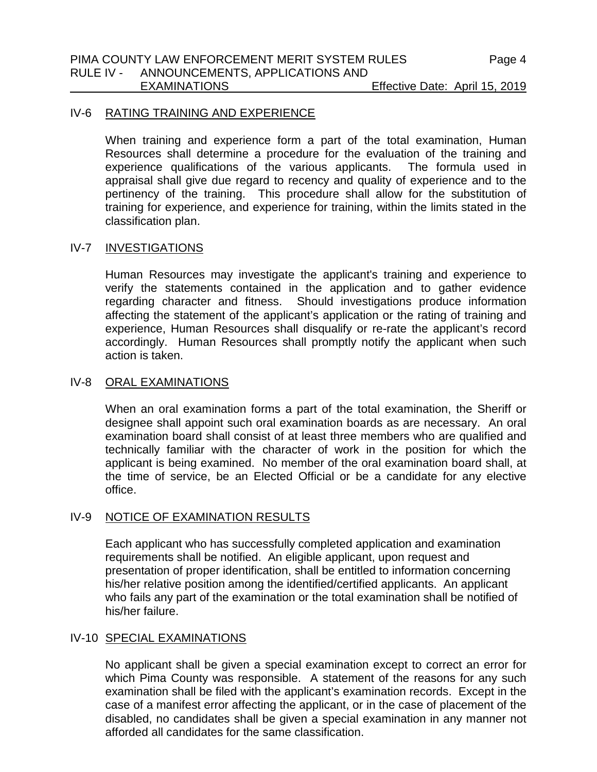#### IV-6 RATING TRAINING AND EXPERIENCE

When training and experience form a part of the total examination, Human Resources shall determine a procedure for the evaluation of the training and experience qualifications of the various applicants. The formula used in appraisal shall give due regard to recency and quality of experience and to the pertinency of the training. This procedure shall allow for the substitution of training for experience, and experience for training, within the limits stated in the classification plan.

### IV-7 INVESTIGATIONS

Human Resources may investigate the applicant's training and experience to verify the statements contained in the application and to gather evidence regarding character and fitness. Should investigations produce information affecting the statement of the applicant's application or the rating of training and experience, Human Resources shall disqualify or re-rate the applicant's record accordingly. Human Resources shall promptly notify the applicant when such action is taken.

#### IV-8 ORAL EXAMINATIONS

When an oral examination forms a part of the total examination, the Sheriff or designee shall appoint such oral examination boards as are necessary. An oral examination board shall consist of at least three members who are qualified and technically familiar with the character of work in the position for which the applicant is being examined. No member of the oral examination board shall, at the time of service, be an Elected Official or be a candidate for any elective office.

### IV-9 NOTICE OF EXAMINATION RESULTS

Each applicant who has successfully completed application and examination requirements shall be notified. An eligible applicant, upon request and presentation of proper identification, shall be entitled to information concerning his/her relative position among the identified/certified applicants. An applicant who fails any part of the examination or the total examination shall be notified of his/her failure.

### IV-10 SPECIAL EXAMINATIONS

No applicant shall be given a special examination except to correct an error for which Pima County was responsible. A statement of the reasons for any such examination shall be filed with the applicant's examination records. Except in the case of a manifest error affecting the applicant, or in the case of placement of the disabled, no candidates shall be given a special examination in any manner not afforded all candidates for the same classification.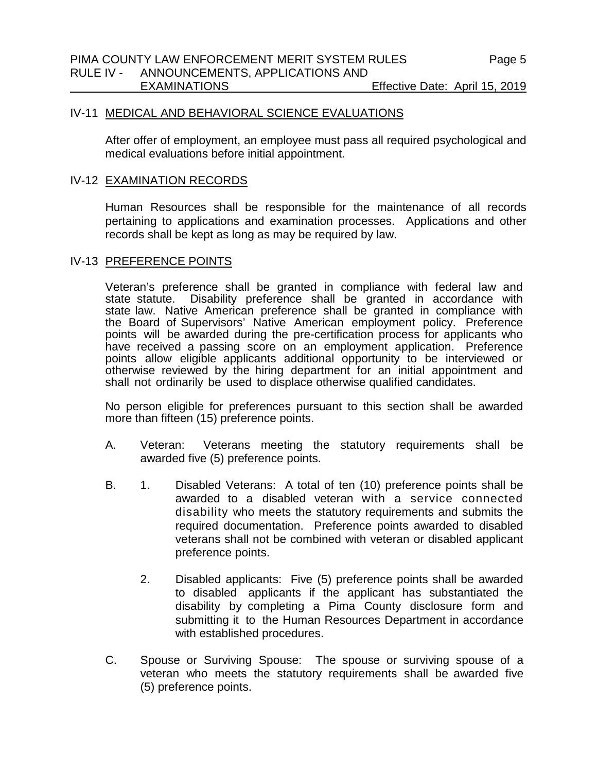# IV-11 MEDICAL AND BEHAVIORAL SCIENCE EVALUATIONS

After offer of employment, an employee must pass all required psychological and medical evaluations before initial appointment.

#### IV-12 EXAMINATION RECORDS

Human Resources shall be responsible for the maintenance of all records pertaining to applications and examination processes. Applications and other records shall be kept as long as may be required by law.

### IV-13 PREFERENCE POINTS

Veteran's preference shall be granted in compliance with federal law and state statute. Disability preference shall be granted in accordance with state law. Native American preference shall be granted in compliance with the Board of Supervisors' Native American employment policy. Preference points will be awarded during the pre-certification process for applicants who have received a passing score on an employment application. Preference points allow eligible applicants additional opportunity to be interviewed or otherwise reviewed by the hiring department for an initial appointment and shall not ordinarily be used to displace otherwise qualified candidates.

No person eligible for preferences pursuant to this section shall be awarded more than fifteen (15) preference points.

- A. Veteran: Veterans meeting the statutory requirements shall be awarded five (5) preference points.
- B. 1. Disabled Veterans: A total of ten (10) preference points shall be awarded to a disabled veteran with a service connected disability who meets the statutory requirements and submits the required documentation. Preference points awarded to disabled veterans shall not be combined with veteran or disabled applicant preference points.
	- 2. Disabled applicants: Five (5) preference points shall be awarded to disabled applicants if the applicant has substantiated the disability by completing a Pima County disclosure form and submitting it to the Human Resources Department in accordance with established procedures.
- C. Spouse or Surviving Spouse: The spouse or surviving spouse of a veteran who meets the statutory requirements shall be awarded five (5) preference points.